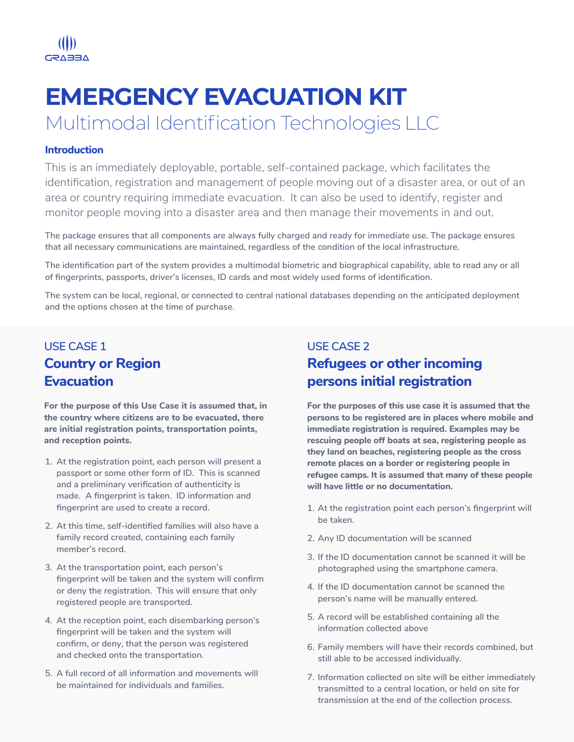**USE CASE 1 Country or Region Evacuation**

**USE CASE 2 Refugees or other incoming persons initial registration**

**For the purpose of this Use Case it is assumed that, in the country where citizens are to be evacuated, there are initial registration points, transportation points, and reception points.**

**For the purposes of this use case it is assumed that the persons to be registered are in places where mobile and immediate registration is required. Examples may be rescuing people off boats at sea, registering people as they land on beaches, registering people as the cross remote places on a border or registering people in refugee camps. It is assumed that many of these people will have little or no documentation.**

- **At the registration point, each person will present a 1. passport or some other form of ID. This is scanned and a preliminary verification of authenticity is made. A fingerprint is taken. ID information and fingerprint are used to create a record.**
- **At this time, self-identified families will also have a 2. family record created, containing each family member's record.**
- **At the transportation point, each person's 3. fingerprint will be taken and the system will confirm or deny the registration. This will ensure that only**

**registered people are transported.**

- **At the reception point, each disembarking person's 4. fingerprint will be taken and the system will confirm, or deny, that the person was registered and checked onto the transportation.**
- **A full record of all information and movements will 5. be maintained for individuals and families.**

**person's name will be manually entered.**

- **At the registration point each person's fingerprint will 1. be taken.**
- **Any ID documentation will be scanned 2.**
- **If the ID documentation cannot be scanned it will be 3. photographed using the smartphone camera.**
- **If the ID documentation cannot be scanned the 4.**
	-

**A record will be established containing all the 5. information collected above**

**Family members will have their records combined, but 6. still able to be accessed individually.**

**Information collected on site will be either immediately 7. transmitted to a central location, or held on site for transmission at the end of the collection process.**

Multimodal Identification Technologies LLC



# **EMERGENCY EVACUATION KIT**

#### **Introduction**

This is an immediately deployable, portable, self-contained package, which facilitates the identification, registration and management of people moving out of a disaster area, or out of an area or country requiring immediate evacuation. It can also be used to identify, register and monitor people moving into a disaster area and then manage their movements in and out.

**The package ensures that all components are always fully charged and ready for immediate use. The package ensures that all necessary communications are maintained, regardless of the condition of the local infrastructure.**

**The identification part of the system provides a multimodal biometric and biographical capability, able to read any or all of fingerprints, passports, driver's licenses, ID cards and most widely used forms of identification.**

**The system can be local, regional, or connected to central national databases depending on the anticipated deployment and the options chosen at the time of purchase.**